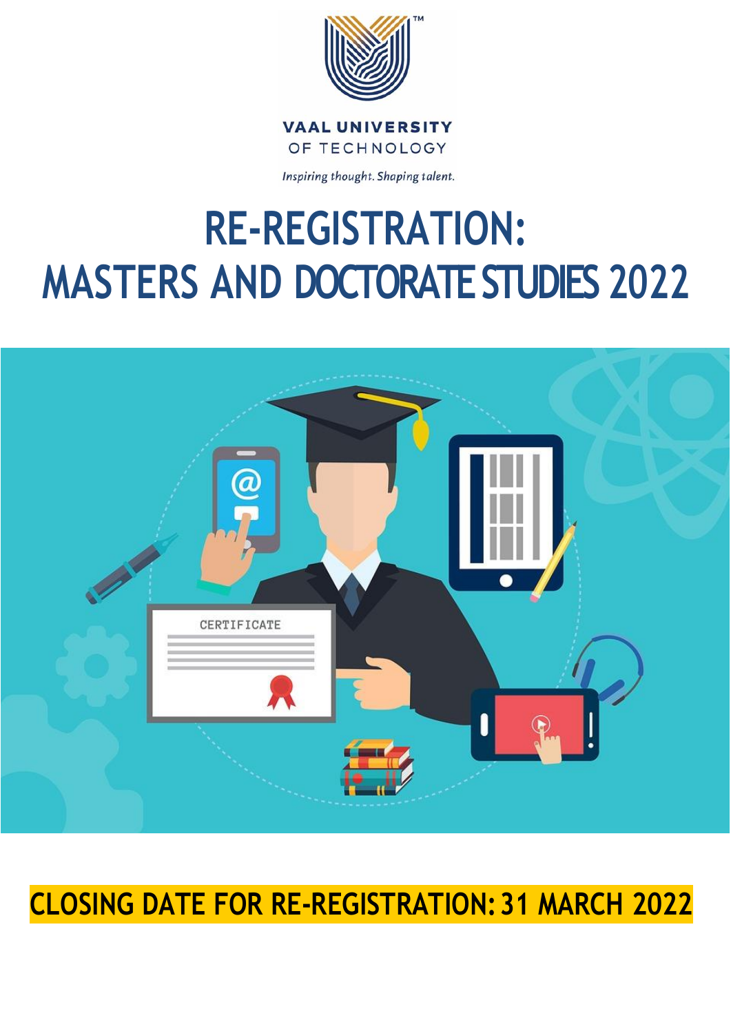

**VAAL UNIVERSITY** OF TECHNOLOGY

Inspiring thought. Shaping talent.

# **RE-REGISTRATION: MASTERS AND DOCTORATE STUDIES 2022**



## **CLOSING DATE FOR RE-REGISTRATION:31 MARCH 2022**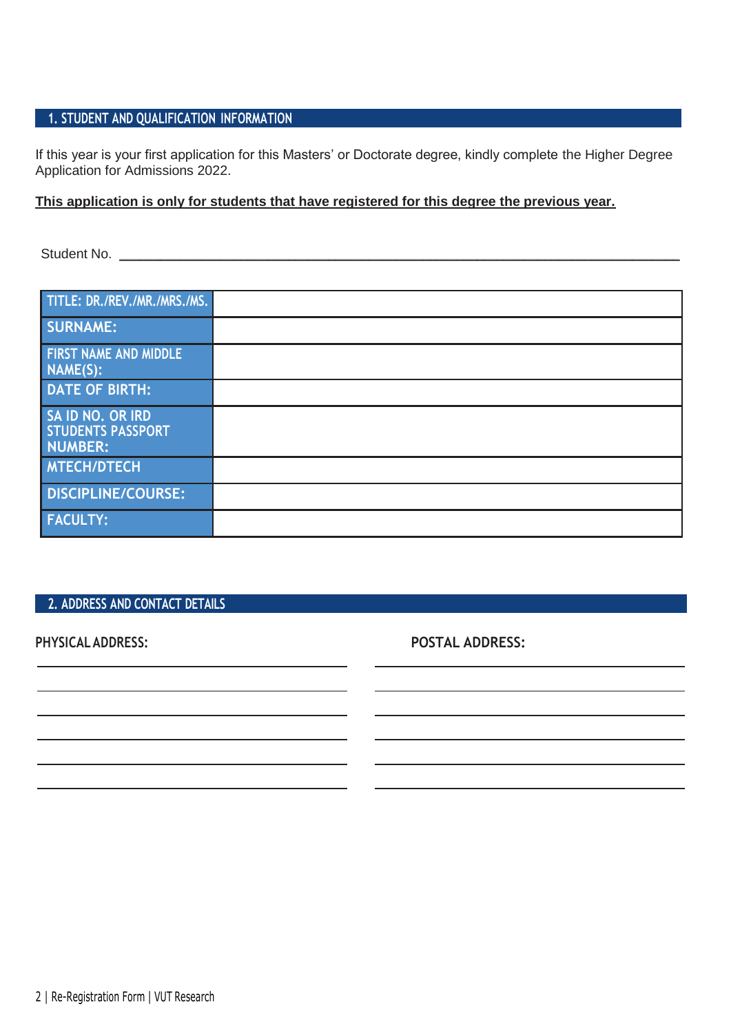#### **1. STUDENT AND QUALIFICATION INFORMATION**

If this year is your first application for this Masters' or Doctorate degree, kindly complete the Higher Degree Application for Admissions 2022.

#### **This application is only for students that have registered for this degree the previous year.**

Student No. \_\_\_\_\_\_\_\_\_\_\_\_\_\_\_\_\_\_\_\_\_\_\_\_\_\_\_\_\_\_\_\_\_\_\_\_\_\_\_\_\_\_\_\_\_\_\_\_\_\_\_\_\_\_\_\_\_\_\_\_\_\_\_\_\_\_\_\_\_\_\_\_\_\_\_\_\_\_\_\_\_\_\_

| TITLE: DR./REV./MR./MRS./MS.                     |  |
|--------------------------------------------------|--|
| <b>SURNAME:</b>                                  |  |
| <b>FIRST NAME AND MIDDLE</b><br>NAME(S):         |  |
| <b>DATE OF BIRTH:</b>                            |  |
| SA ID NO. OR IRD<br>STUDENTS PASSPORT<br>NUMBER: |  |
| <b>MTECH/DTECH</b>                               |  |
| DISCIPLINE/COURSE:                               |  |
| <b>FACULTY:</b>                                  |  |

#### **2. ADDRESS AND CONTACT DETAILS**

**PHYSICALADDRESS: POSTAL ADDRESS:**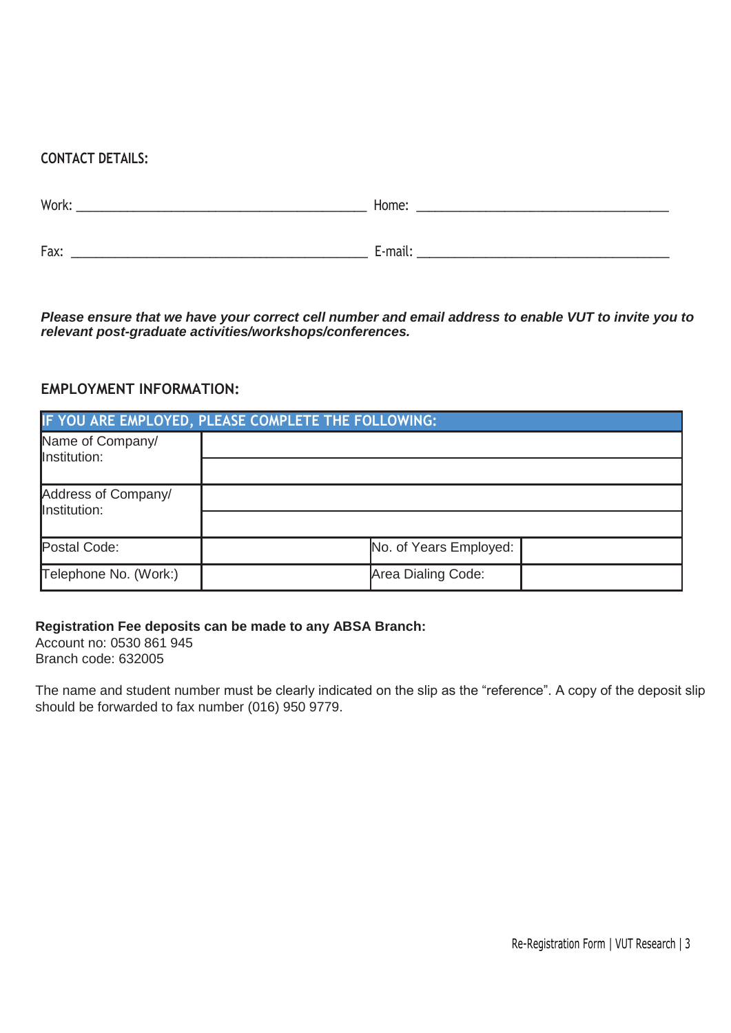#### **CONTACT DETAILS:**

| Work: | Home:   |
|-------|---------|
| Fax:  | E-mail: |

*Please ensure that we have your correct cell number and email address to enable VUT to invite you to relevant post-graduate activities/workshops/conferences.*

#### **EMPLOYMENT INFORMATION:**

| IF YOU ARE EMPLOYED, PLEASE COMPLETE THE FOLLOWING: |                        |  |  |
|-----------------------------------------------------|------------------------|--|--|
| Name of Company/<br>Institution:                    |                        |  |  |
|                                                     |                        |  |  |
| Address of Company/<br>Institution:                 |                        |  |  |
|                                                     |                        |  |  |
| Postal Code:                                        | No. of Years Employed: |  |  |
| Telephone No. (Work:)                               | Area Dialing Code:     |  |  |

#### **Registration Fee deposits can be made to any ABSA Branch:**

Account no: 0530 861 945 Branch code: 632005

The name and student number must be clearly indicated on the slip as the "reference". A copy of the deposit slip should be forwarded to fax number (016) 950 9779.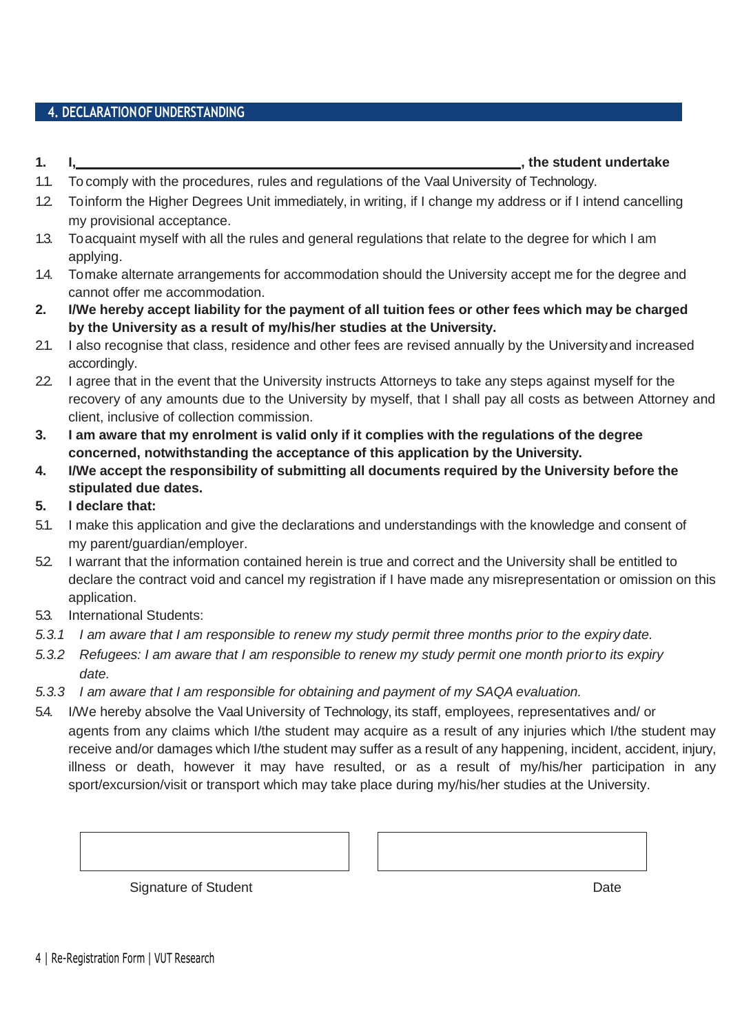#### **4. DECLARATIONOFUNDERSTANDING**

#### **1. I, , the student undertake**

- 1.1. To comply with the procedures, rules and regulations of the Vaal University of Technology.
- 1.2. Toinform the Higher Degrees Unit immediately, in writing, if I change my address or if I intend cancelling my provisional acceptance.
- 1.3. Toacquaint myself with all the rules and general regulations that relate to the degree for which I am applying.
- 1.4. Tomake alternate arrangements for accommodation should the University accept me for the degree and cannot offer me accommodation.
- 2. I/We hereby accept liability for the payment of all tuition fees or other fees which may be charged **by the University as a result of my/his/her studies at the University.**
- 2.1. I also recognise that class, residence and other fees are revised annually by the Universityand increased accordingly.
- 22. I agree that in the event that the University instructs Attorneys to take any steps against myself for the recovery of any amounts due to the University by myself, that I shall pay all costs as between Attorney and client, inclusive of collection commission.
- 3. I am aware that my enrolment is valid only if it complies with the regulations of the degree **concerned, notwithstanding the acceptance of this application by the University.**
- **4. I/We accept the responsibility of submitting all documents required by the University before the stipulated due dates.**
- **5. I declare that:**
- 5.1. I make this application and give the declarations and understandings with the knowledge and consent of my parent/guardian/employer.
- 5.2. I warrant that the information contained herein is true and correct and the University shall be entitled to declare the contract void and cancel my registration if I have made any misrepresentation or omission on this application.
- 5.3. International Students:
- *5.3.1 I am aware that I am responsible to renew my study permit three months prior to the expiry date.*
- *5.3.2 Refugees: I am aware that I am responsible to renew my study permit one month priorto its expiry date.*
- *5.3.3 I am aware that I am responsible for obtaining and payment of my SAQA evaluation.*
- 5.4. I/We hereby absolve the Vaal University of Technology, its staff, employees, representatives and/ or agents from any claims which I/the student may acquire as a result of any injuries which I/the student may receive and/or damages which I/the student may suffer as a result of any happening, incident, accident, injury, illness or death, however it may have resulted, or as a result of my/his/her participation in any sport/excursion/visit or transport which may take place during my/his/her studies at the University.

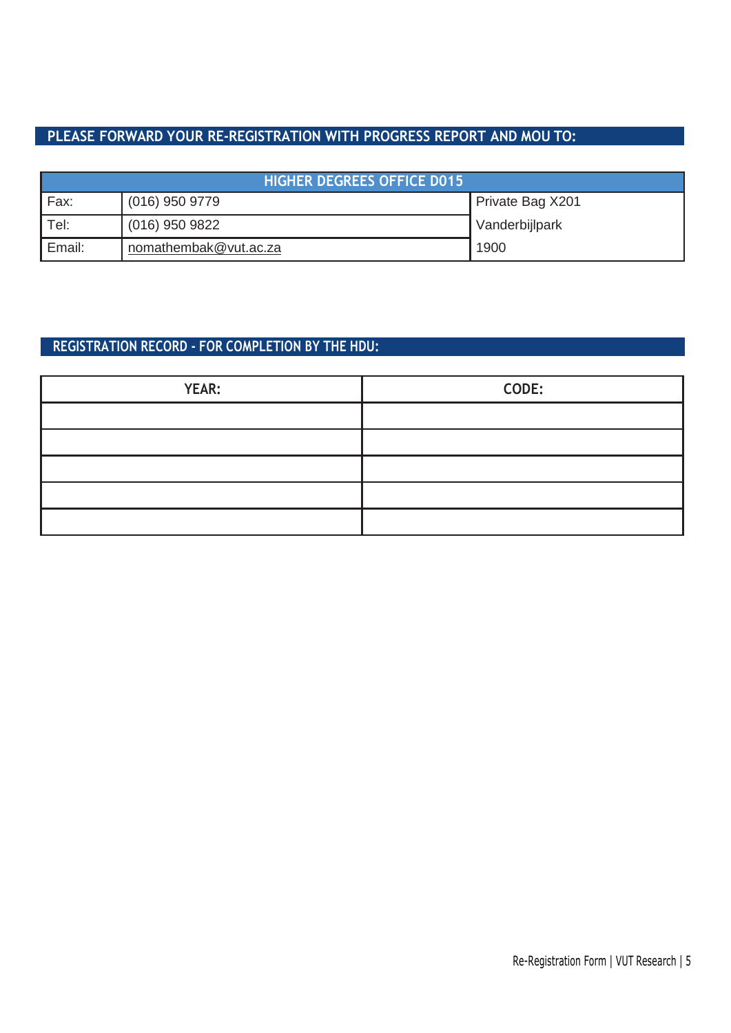#### **PLEASE FORWARD YOUR RE-REGISTRATION WITH PROGRESS REPORT AND MOU TO:**

| <b>HIGHER DEGREES OFFICE D015</b> |                       |                  |  |
|-----------------------------------|-----------------------|------------------|--|
| Fax:                              | $(016)$ 950 9779      | Private Bag X201 |  |
| Tel:                              | $(016)$ 950 9822      | Vanderbijlpark   |  |
| Email:                            | nomathembak@vut.ac.za | 1900             |  |

### **REGISTRATION RECORD - FOR COMPLETION BY THE HDU:**

| <b>YEAR:</b> | CODE: |
|--------------|-------|
|              |       |
|              |       |
|              |       |
|              |       |
|              |       |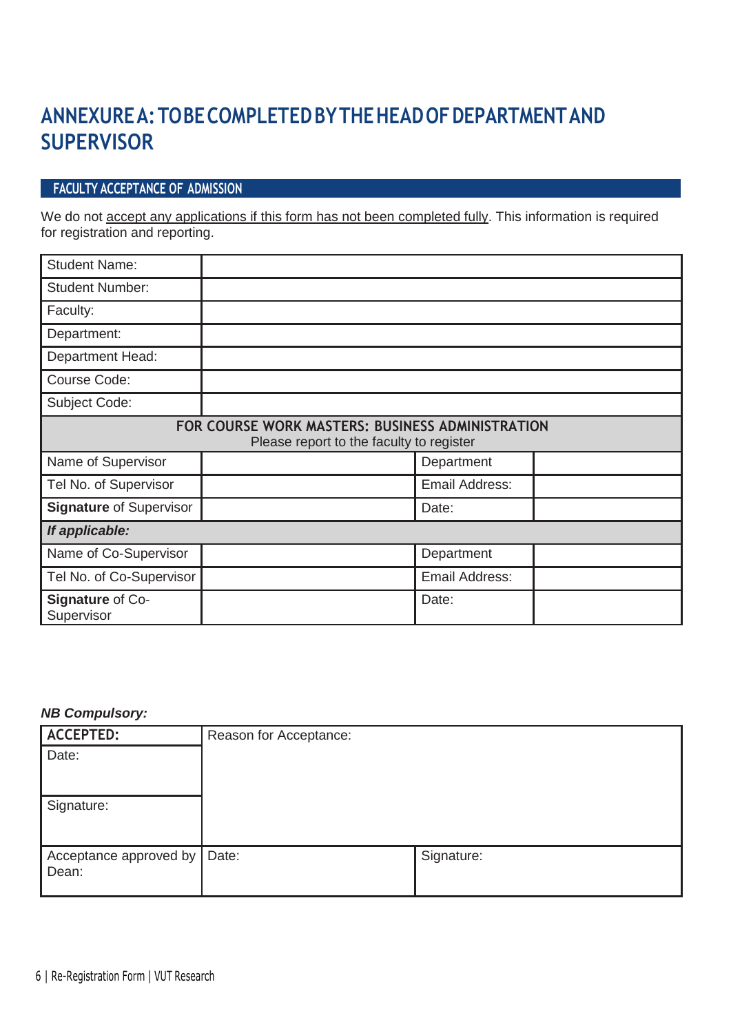### **ANNEXUREA:TOBECOMPLETEDBYTHEHEADOFDEPARTMENTAND SUPERVISOR**

#### **FACULTY ACCEPTANCE OF ADMISSION**

We do not accept any applications if this form has not been completed fully. This information is required for registration and reporting.

| <b>Student Name:</b>           |                                                                                              |  |  |  |
|--------------------------------|----------------------------------------------------------------------------------------------|--|--|--|
| <b>Student Number:</b>         |                                                                                              |  |  |  |
| Faculty:                       |                                                                                              |  |  |  |
| Department:                    |                                                                                              |  |  |  |
| Department Head:               |                                                                                              |  |  |  |
| Course Code:                   |                                                                                              |  |  |  |
| Subject Code:                  |                                                                                              |  |  |  |
|                                | FOR COURSE WORK MASTERS: BUSINESS ADMINISTRATION<br>Please report to the faculty to register |  |  |  |
| Name of Supervisor             | Department                                                                                   |  |  |  |
| Tel No. of Supervisor          | Email Address:                                                                               |  |  |  |
| <b>Signature of Supervisor</b> | Date:                                                                                        |  |  |  |
| If applicable:                 |                                                                                              |  |  |  |
| Name of Co-Supervisor          | Department                                                                                   |  |  |  |
| Tel No. of Co-Supervisor       | Email Address:                                                                               |  |  |  |
| Signature of Co-<br>Supervisor | Date:                                                                                        |  |  |  |

#### *NB Compulsory:*

| <b>ACCEPTED:</b>                      | Reason for Acceptance: |            |
|---------------------------------------|------------------------|------------|
| Date:                                 |                        |            |
| Signature:                            |                        |            |
| Acceptance approved by Date:<br>Dean: |                        | Signature: |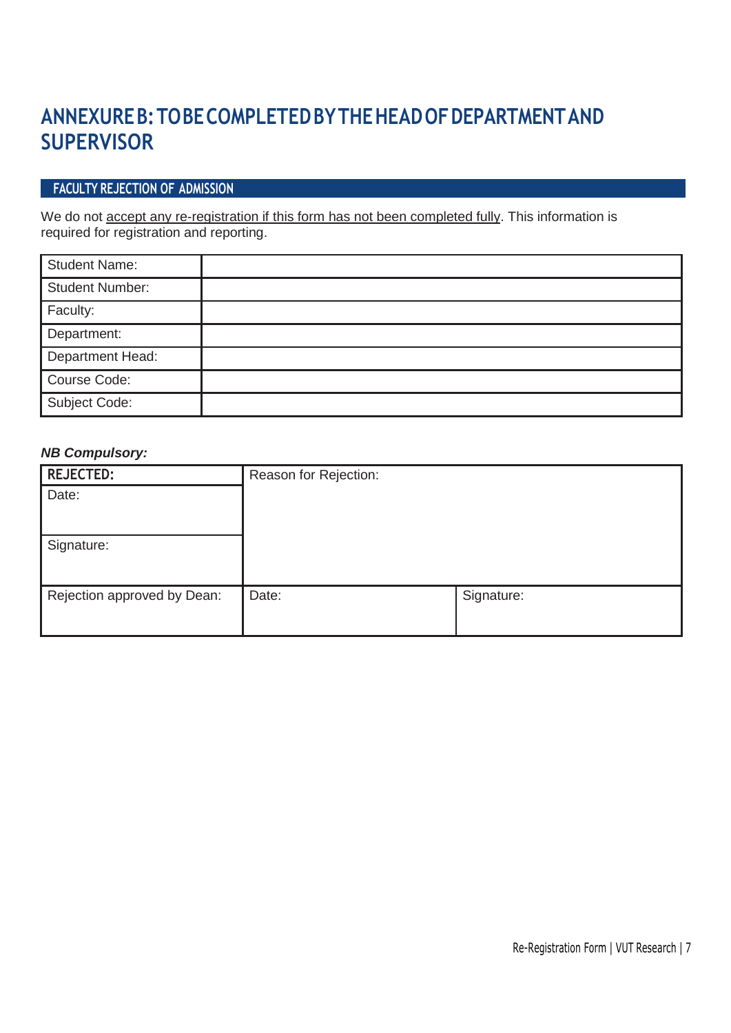### **ANNEXUREB:TOBECOMPLETEDBYTHEHEADOFDEPARTMENTAND SUPERVISOR**

#### **FACULTY REJECTION OF ADMISSION**

We do not accept any re-registration if this form has not been completed fully. This information is required for registration and reporting.

| <b>Student Name:</b>   |  |
|------------------------|--|
| <b>Student Number:</b> |  |
| Faculty:               |  |
| Department:            |  |
| Department Head:       |  |
| Course Code:           |  |
| Subject Code:          |  |

#### *NB Compulsory:*

| <b>REJECTED:</b>            | Reason for Rejection: |            |
|-----------------------------|-----------------------|------------|
| Date:                       |                       |            |
|                             |                       |            |
|                             |                       |            |
| Signature:                  |                       |            |
|                             |                       |            |
| Rejection approved by Dean: | Date:                 | Signature: |
|                             |                       |            |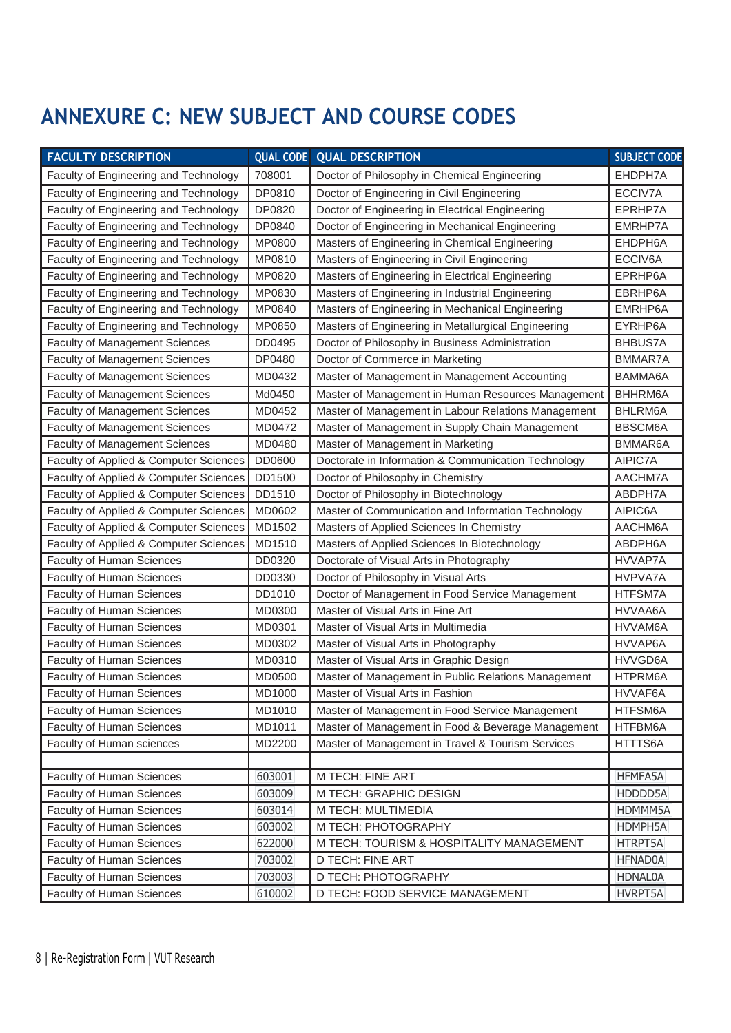### **ANNEXURE C: NEW SUBJECT AND COURSE CODES**

| <b>FACULTY DESCRIPTION</b>             |        | <b>QUAL CODE   QUAL DESCRIPTION</b>                 | <b>SUBJECT CODE</b> |
|----------------------------------------|--------|-----------------------------------------------------|---------------------|
| Faculty of Engineering and Technology  | 708001 | Doctor of Philosophy in Chemical Engineering        | EHDPH7A             |
| Faculty of Engineering and Technology  | DP0810 | Doctor of Engineering in Civil Engineering          | ECCIV7A             |
| Faculty of Engineering and Technology  | DP0820 | Doctor of Engineering in Electrical Engineering     | EPRHP7A             |
| Faculty of Engineering and Technology  | DP0840 | Doctor of Engineering in Mechanical Engineering     | EMRHP7A             |
| Faculty of Engineering and Technology  | MP0800 | Masters of Engineering in Chemical Engineering      | EHDPH6A             |
| Faculty of Engineering and Technology  | MP0810 | Masters of Engineering in Civil Engineering         | ECCIV6A             |
| Faculty of Engineering and Technology  | MP0820 | Masters of Engineering in Electrical Engineering    | EPRHP6A             |
| Faculty of Engineering and Technology  | MP0830 | Masters of Engineering in Industrial Engineering    | EBRHP6A             |
| Faculty of Engineering and Technology  | MP0840 | Masters of Engineering in Mechanical Engineering    | EMRHP6A             |
| Faculty of Engineering and Technology  | MP0850 | Masters of Engineering in Metallurgical Engineering | EYRHP6A             |
| <b>Faculty of Management Sciences</b>  | DD0495 | Doctor of Philosophy in Business Administration     | <b>BHBUS7A</b>      |
| <b>Faculty of Management Sciences</b>  | DP0480 | Doctor of Commerce in Marketing                     | BMMAR7A             |
| <b>Faculty of Management Sciences</b>  | MD0432 | Master of Management in Management Accounting       | BAMMA6A             |
| <b>Faculty of Management Sciences</b>  | Md0450 | Master of Management in Human Resources Management  | BHHRM6A             |
| <b>Faculty of Management Sciences</b>  | MD0452 | Master of Management in Labour Relations Management | BHLRM6A             |
| <b>Faculty of Management Sciences</b>  | MD0472 | Master of Management in Supply Chain Management     | BBSCM6A             |
| <b>Faculty of Management Sciences</b>  | MD0480 | Master of Management in Marketing                   | BMMAR6A             |
| Faculty of Applied & Computer Sciences | DD0600 | Doctorate in Information & Communication Technology | AIPIC7A             |
| Faculty of Applied & Computer Sciences | DD1500 | Doctor of Philosophy in Chemistry                   | AACHM7A             |
| Faculty of Applied & Computer Sciences | DD1510 | Doctor of Philosophy in Biotechnology               | ABDPH7A             |
| Faculty of Applied & Computer Sciences | MD0602 | Master of Communication and Information Technology  | AIPIC6A             |
| Faculty of Applied & Computer Sciences | MD1502 | Masters of Applied Sciences In Chemistry            | AACHM6A             |
| Faculty of Applied & Computer Sciences | MD1510 | Masters of Applied Sciences In Biotechnology        | ABDPH6A             |
| Faculty of Human Sciences              | DD0320 | Doctorate of Visual Arts in Photography             | HVVAP7A             |
| Faculty of Human Sciences              | DD0330 | Doctor of Philosophy in Visual Arts                 | <b>HVPVA7A</b>      |
| Faculty of Human Sciences              | DD1010 | Doctor of Management in Food Service Management     | HTFSM7A             |
| Faculty of Human Sciences              | MD0300 | Master of Visual Arts in Fine Art                   | HVVAA6A             |
| Faculty of Human Sciences              | MD0301 | Master of Visual Arts in Multimedia                 | HVVAM6A             |
| Faculty of Human Sciences              | MD0302 | Master of Visual Arts in Photography                | HVVAP6A             |
| <b>Faculty of Human Sciences</b>       | MD0310 | Master of Visual Arts in Graphic Design             | HVVGD6A             |
| Faculty of Human Sciences              | MD0500 | Master of Management in Public Relations Management | HTPRM6A             |
| Faculty of Human Sciences              | MD1000 | Master of Visual Arts in Fashion                    | HVVAF6A             |
| Faculty of Human Sciences              | MD1010 | Master of Management in Food Service Management     | HTFSM6A             |
| Faculty of Human Sciences              | MD1011 | Master of Management in Food & Beverage Management  | HTFBM6A             |
| Faculty of Human sciences              | MD2200 | Master of Management in Travel & Tourism Services   | HTTTS6A             |
|                                        |        |                                                     |                     |
| Faculty of Human Sciences              | 603001 | M TECH: FINE ART                                    | HFMFA5A             |
| Faculty of Human Sciences              | 603009 | M TECH: GRAPHIC DESIGN                              | HDDDD5A             |
| Faculty of Human Sciences              | 603014 | M TECH: MULTIMEDIA                                  | HDMMM5A             |
| Faculty of Human Sciences              | 603002 | M TECH: PHOTOGRAPHY                                 | HDMPH5A             |
| Faculty of Human Sciences              | 622000 | M TECH: TOURISM & HOSPITALITY MANAGEMENT            | HTRPT5A             |
| Faculty of Human Sciences              | 703002 | D TECH: FINE ART                                    | <b>HFNAD0A</b>      |
| Faculty of Human Sciences              | 703003 | D TECH: PHOTOGRAPHY                                 | <b>HDNAL0A</b>      |
| Faculty of Human Sciences              | 610002 | D TECH: FOOD SERVICE MANAGEMENT                     | <b>HVRPT5A</b>      |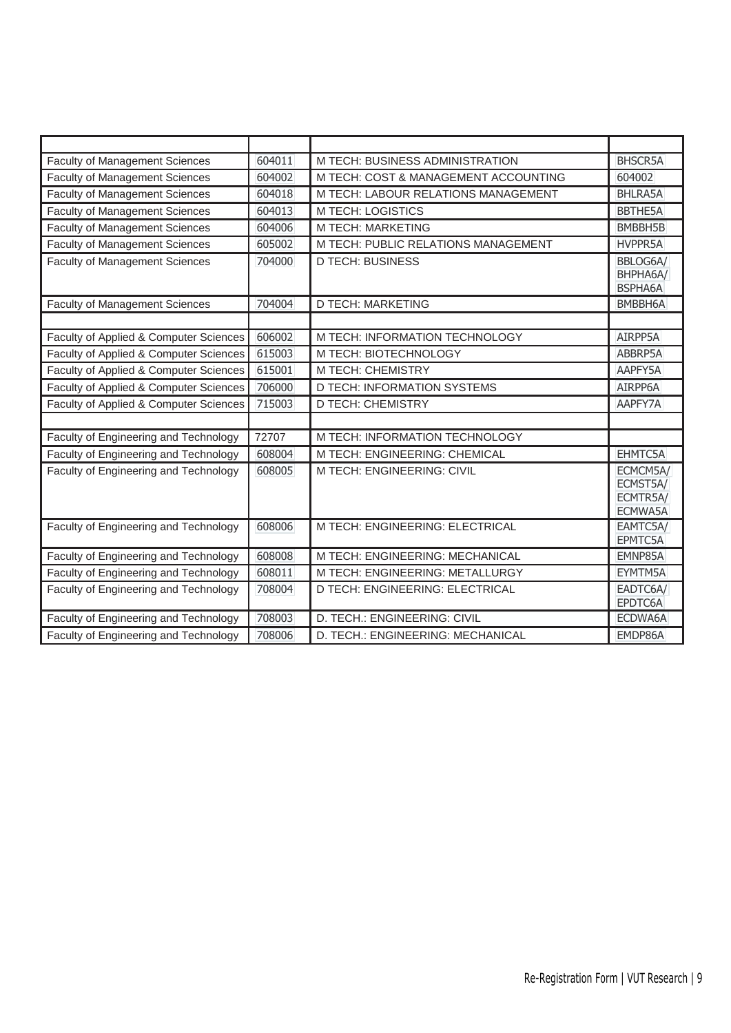| <b>Faculty of Management Sciences</b>  | 604011 | M TECH: BUSINESS ADMINISTRATION      | <b>BHSCR5A</b>                              |
|----------------------------------------|--------|--------------------------------------|---------------------------------------------|
| <b>Faculty of Management Sciences</b>  | 604002 | M TECH: COST & MANAGEMENT ACCOUNTING | 604002                                      |
| <b>Faculty of Management Sciences</b>  | 604018 | M TECH: LABOUR RELATIONS MANAGEMENT  | BHLRA5A                                     |
| <b>Faculty of Management Sciences</b>  | 604013 | M TECH: LOGISTICS                    | <b>BBTHE5A</b>                              |
| <b>Faculty of Management Sciences</b>  | 604006 | <b>M TECH: MARKETING</b>             | BMBBH5B                                     |
| <b>Faculty of Management Sciences</b>  | 605002 | M TECH: PUBLIC RELATIONS MANAGEMENT  | <b>HVPPR5A</b>                              |
| <b>Faculty of Management Sciences</b>  | 704000 | <b>D TECH: BUSINESS</b>              | BBLOG6A/<br>BHPHA6A/<br><b>BSPHA6A</b>      |
| <b>Faculty of Management Sciences</b>  | 704004 | <b>D TECH: MARKETING</b>             | BMBBH6A                                     |
|                                        |        |                                      |                                             |
| Faculty of Applied & Computer Sciences | 606002 | M TECH: INFORMATION TECHNOLOGY       | AIRPP5A                                     |
| Faculty of Applied & Computer Sciences | 615003 | M TECH: BIOTECHNOLOGY                | ABBRP5A                                     |
| Faculty of Applied & Computer Sciences | 615001 | M TECH: CHEMISTRY                    | AAPFY5A                                     |
| Faculty of Applied & Computer Sciences | 706000 | D TECH: INFORMATION SYSTEMS          | AIRPP6A                                     |
| Faculty of Applied & Computer Sciences | 715003 | <b>D TECH: CHEMISTRY</b>             | AAPFY7A                                     |
|                                        |        |                                      |                                             |
| Faculty of Engineering and Technology  | 72707  | M TECH: INFORMATION TECHNOLOGY       |                                             |
| Faculty of Engineering and Technology  | 608004 | M TECH: ENGINEERING: CHEMICAL        | EHMTC5A                                     |
| Faculty of Engineering and Technology  | 608005 | M TECH: ENGINEERING: CIVIL           | ECMCM5A/<br>ECMST5A/<br>ECMTR5A/<br>ECMWA5A |
| Faculty of Engineering and Technology  | 608006 | M TECH: ENGINEERING: ELECTRICAL      | EAMTC5A/<br>EPMTC5A                         |
| Faculty of Engineering and Technology  | 608008 | M TECH: ENGINEERING: MECHANICAL      | EMNP85A                                     |
| Faculty of Engineering and Technology  | 608011 | M TECH: ENGINEERING: METALLURGY      | EYMTM5A                                     |
| Faculty of Engineering and Technology  | 708004 | D TECH: ENGINEERING: ELECTRICAL      | EADTC6A/<br>EPDTC6A                         |
| Faculty of Engineering and Technology  | 708003 | D. TECH.: ENGINEERING: CIVIL         | ECDWA6A                                     |
| Faculty of Engineering and Technology  | 708006 | D. TECH.: ENGINEERING: MECHANICAL    | EMDP86A                                     |